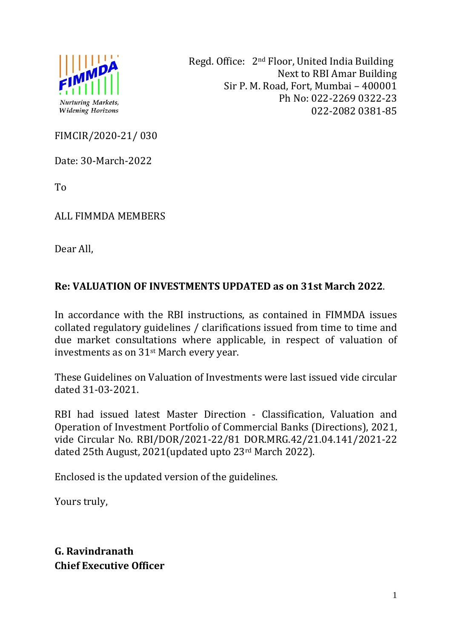

 Regd. Office: 2nd Floor, United India Building Next to RBI Amar Building Sir P. M. Road, Fort, Mumbai – 400001 Ph No: 022-2269 0322-23 022-2082 0381-85

FIMCIR/2020-21/ 030

Date: 30-March-2022

To

ALL FIMMDA MEMBERS

Dear All,

#### **Re: VALUATION OF INVESTMENTS UPDATED as on 31st March 2022**.

In accordance with the RBI instructions, as contained in FIMMDA issues collated regulatory guidelines / clarifications issued from time to time and due market consultations where applicable, in respect of valuation of investments as on 31st March every year.

These Guidelines on Valuation of Investments were last issued vide circular dated 31-03-2021.

RBI had issued latest Master Direction - Classification, Valuation and Operation of Investment Portfolio of Commercial Banks (Directions), 2021, vide Circular No. RBI/DOR/2021-22/81 DOR.MRG.42/21.04.141/2021-22 dated 25th August, 2021(updated upto 23rd March 2022).

Enclosed is the updated version of the guidelines.

Yours truly,

**G. Ravindranath Chief Executive Officer**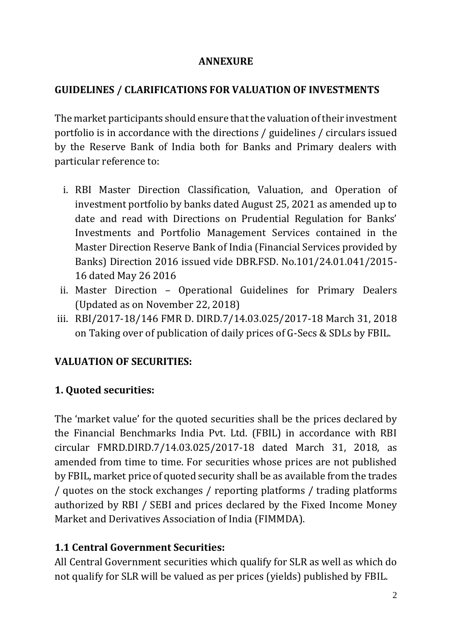#### **ANNEXURE**

#### **GUIDELINES / CLARIFICATIONS FOR VALUATION OF INVESTMENTS**

The market participants should ensure that the valuation of their investment portfolio is in accordance with the directions / guidelines / circulars issued by the Reserve Bank of India both for Banks and Primary dealers with particular reference to:

- i. RBI Master Direction Classification, Valuation, and Operation of investment portfolio by banks dated August 25, 2021 as amended up to date and read with Directions on Prudential Regulation for Banks' Investments and Portfolio Management Services contained in the Master Direction Reserve Bank of India (Financial Services provided by Banks) Direction 2016 issued vide DBR.FSD. No.101/24.01.041/2015- 16 dated May 26 2016
- ii. Master Direction Operational Guidelines for Primary Dealers (Updated as on November 22, 2018)
- iii. RBI/2017-18/146 FMR D. DIRD.7/14.03.025/2017-18 March 31, 2018 on Taking over of publication of daily prices of G-Secs & SDLs by FBIL.

#### **VALUATION OF SECURITIES:**

# **1. Quoted securities:**

The 'market value' for the quoted securities shall be the prices declared by the Financial Benchmarks India Pvt. Ltd. (FBIL) in accordance with RBI circular FMRD.DIRD.7/14.03.025/2017-18 dated March 31, 2018, as amended from time to time. For securities whose prices are not published by FBIL, market price of quoted security shall be as available from the trades / quotes on the stock exchanges / reporting platforms / trading platforms authorized by RBI / SEBI and prices declared by the Fixed Income Money Market and Derivatives Association of India (FIMMDA).

#### **1.1 Central Government Securities:**

All Central Government securities which qualify for SLR as well as which do not qualify for SLR will be valued as per prices (yields) published by FBIL.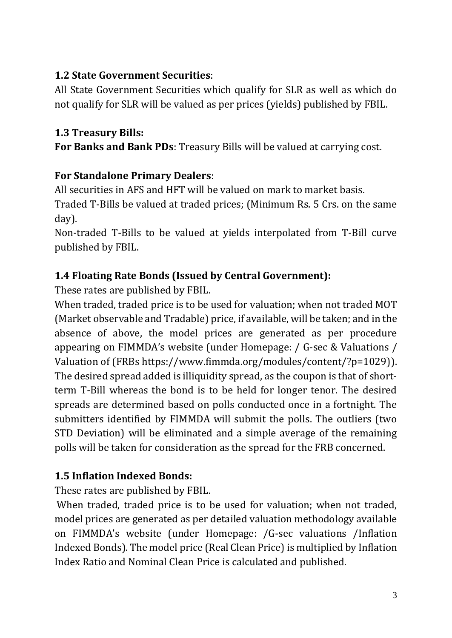## **1.2 State Government Securities**:

All State Government Securities which qualify for SLR as well as which do not qualify for SLR will be valued as per prices (yields) published by FBIL.

#### **1.3 Treasury Bills:**

**For Banks and Bank PDs**: Treasury Bills will be valued at carrying cost.

#### **For Standalone Primary Dealers**:

All securities in AFS and HFT will be valued on mark to market basis.

Traded T-Bills be valued at traded prices; (Minimum Rs. 5 Crs. on the same day).

Non-traded T-Bills to be valued at yields interpolated from T-Bill curve published by FBIL.

# **1.4 Floating Rate Bonds (Issued by Central Government):**

These rates are published by FBIL.

When traded, traded price is to be used for valuation; when not traded MOT (Market observable and Tradable) price, if available, will be taken; and in the absence of above, the model prices are generated as per procedure appearing on FIMMDA's website (under Homepage: / G-sec & Valuations / Valuation of (FRBs https://www.fimmda.org/modules/content/?p=1029)). The desired spread added is illiquidity spread, as the coupon is that of shortterm T-Bill whereas the bond is to be held for longer tenor. The desired spreads are determined based on polls conducted once in a fortnight. The submitters identified by FIMMDA will submit the polls. The outliers (two STD Deviation) will be eliminated and a simple average of the remaining polls will be taken for consideration as the spread for the FRB concerned.

# **1.5 Inflation Indexed Bonds:**

These rates are published by FBIL.

When traded, traded price is to be used for valuation; when not traded, model prices are generated as per detailed valuation methodology available on FIMMDA's website (under Homepage: /G-sec valuations /Inflation Indexed Bonds). The model price (Real Clean Price) is multiplied by Inflation Index Ratio and Nominal Clean Price is calculated and published.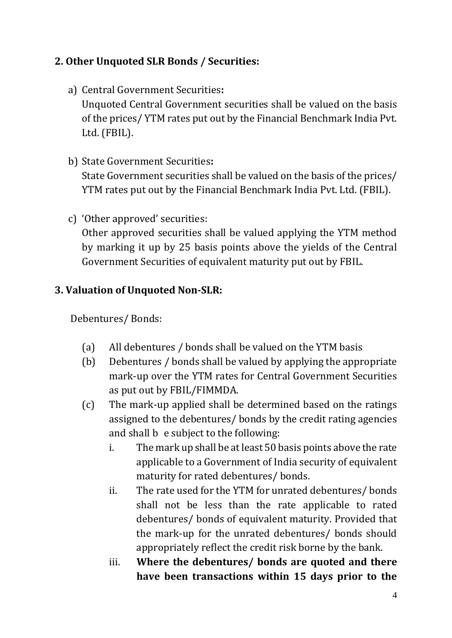# **2. Other Unquoted SLR Bonds / Securities:**

- a) Central Government Securities**:**  Unquoted Central Government securities shall be valued on the basis of the prices/ YTM rates put out by the Financial Benchmark India Pvt. Ltd. (FBIL).
- b) State Government Securities**:**

State Government securities shall be valued on the basis of the prices/ YTM rates put out by the Financial Benchmark India Pvt. Ltd. (FBIL).

c) 'Other approved' securities:

Other approved securities shall be valued applying the YTM method by marking it up by 25 basis points above the yields of the Central Government Securities of equivalent maturity put out by FBIL.

# **3. Valuation of Unquoted Non-SLR:**

Debentures/ Bonds:

- (a) All debentures / bonds shall be valued on the YTM basis
- (b) Debentures / bonds shall be valued by applying the appropriate mark-up over the YTM rates for Central Government Securities as put out by FBIL/FIMMDA.
- (c) The mark-up applied shall be determined based on the ratings assigned to the debentures/ bonds by the credit rating agencies and shall b e subject to the following:
	- i. The mark up shall be at least 50 basis points above the rate applicable to a Government of India security of equivalent maturity for rated debentures/ bonds.
	- ii. The rate used for the YTM for unrated debentures/ bonds shall not be less than the rate applicable to rated debentures/ bonds of equivalent maturity. Provided that the mark-up for the unrated debentures/ bonds should appropriately reflect the credit risk borne by the bank.
	- iii. **Where the debentures/ bonds are quoted and there have been transactions within 15 days prior to the**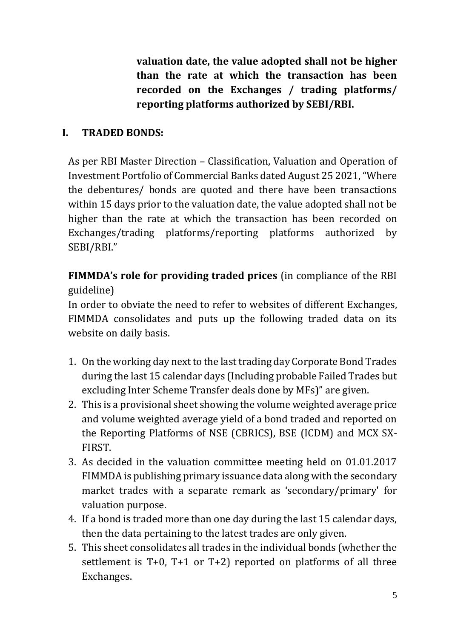**valuation date, the value adopted shall not be higher than the rate at which the transaction has been recorded on the Exchanges / trading platforms/ reporting platforms authorized by SEBI/RBI.**

## **I. TRADED BONDS:**

As per RBI Master Direction – Classification, Valuation and Operation of Investment Portfolio of Commercial Banks dated August 25 2021, "Where the debentures/ bonds are quoted and there have been transactions within 15 days prior to the valuation date, the value adopted shall not be higher than the rate at which the transaction has been recorded on Exchanges/trading platforms/reporting platforms authorized by SEBI/RBI."

**FIMMDA's role for providing traded prices** (in compliance of the RBI guideline)

In order to obviate the need to refer to websites of different Exchanges, FIMMDA consolidates and puts up the following traded data on its website on daily basis.

- 1. On the working day next to the last trading day Corporate Bond Trades during the last 15 calendar days (Including probable Failed Trades but excluding Inter Scheme Transfer deals done by MFs)" are given.
- 2. This is a provisional sheet showing the volume weighted average price and volume weighted average yield of a bond traded and reported on the Reporting Platforms of NSE (CBRICS), BSE (ICDM) and MCX SX-FIRST.
- 3. As decided in the valuation committee meeting held on 01.01.2017 FIMMDA is publishing primary issuance data along with the secondary market trades with a separate remark as 'secondary/primary' for valuation purpose.
- 4. If a bond is traded more than one day during the last 15 calendar days, then the data pertaining to the latest trades are only given.
- 5. This sheet consolidates all trades in the individual bonds (whether the settlement is  $T+0$ ,  $T+1$  or  $T+2$ ) reported on platforms of all three Exchanges.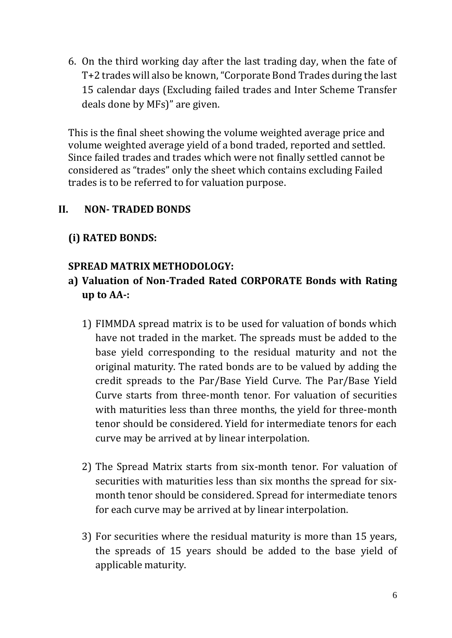6. On the third working day after the last trading day, when the fate of T+2 trades will also be known, "Corporate Bond Trades during the last 15 calendar days (Excluding failed trades and Inter Scheme Transfer deals done by MFs)" are given.

This is the final sheet showing the volume weighted average price and volume weighted average yield of a bond traded, reported and settled. Since failed trades and trades which were not finally settled cannot be considered as "trades" only the sheet which contains excluding Failed trades is to be referred to for valuation purpose.

#### **II. NON- TRADED BONDS**

**(i) RATED BONDS:** 

#### **SPREAD MATRIX METHODOLOGY:**

- **a) Valuation of Non-Traded Rated CORPORATE Bonds with Rating up to AA-:**
	- 1) FIMMDA spread matrix is to be used for valuation of bonds which have not traded in the market. The spreads must be added to the base yield corresponding to the residual maturity and not the original maturity. The rated bonds are to be valued by adding the credit spreads to the Par/Base Yield Curve. The Par/Base Yield Curve starts from three-month tenor. For valuation of securities with maturities less than three months, the yield for three-month tenor should be considered. Yield for intermediate tenors for each curve may be arrived at by linear interpolation.
	- 2) The Spread Matrix starts from six-month tenor. For valuation of securities with maturities less than six months the spread for sixmonth tenor should be considered. Spread for intermediate tenors for each curve may be arrived at by linear interpolation.
	- 3) For securities where the residual maturity is more than 15 years, the spreads of 15 years should be added to the base yield of applicable maturity.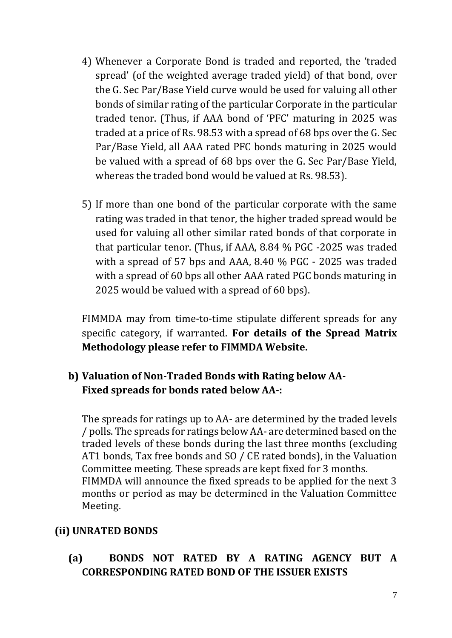- 4) Whenever a Corporate Bond is traded and reported, the 'traded spread' (of the weighted average traded yield) of that bond, over the G. Sec Par/Base Yield curve would be used for valuing all other bonds of similar rating of the particular Corporate in the particular traded tenor. (Thus, if AAA bond of 'PFC' maturing in 2025 was traded at a price of Rs. 98.53 with a spread of 68 bps over the G. Sec Par/Base Yield, all AAA rated PFC bonds maturing in 2025 would be valued with a spread of 68 bps over the G. Sec Par/Base Yield, whereas the traded bond would be valued at Rs. 98.53).
- 5) If more than one bond of the particular corporate with the same rating was traded in that tenor, the higher traded spread would be used for valuing all other similar rated bonds of that corporate in that particular tenor. (Thus, if AAA, 8.84 % PGC -2025 was traded with a spread of 57 bps and AAA, 8.40 % PGC - 2025 was traded with a spread of 60 bps all other AAA rated PGC bonds maturing in 2025 would be valued with a spread of 60 bps).

FIMMDA may from time-to-time stipulate different spreads for any specific category, if warranted. **For details of the Spread Matrix Methodology please refer to FIMMDA Website.**

## **b) Valuation of Non-Traded Bonds with Rating below AA-Fixed spreads for bonds rated below AA-:**

The spreads for ratings up to AA- are determined by the traded levels / polls. The spreads for ratings below AA- are determined based on the traded levels of these bonds during the last three months (excluding AT1 bonds, Tax free bonds and SO / CE rated bonds), in the Valuation Committee meeting. These spreads are kept fixed for 3 months. FIMMDA will announce the fixed spreads to be applied for the next 3 months or period as may be determined in the Valuation Committee Meeting.

#### **(ii) UNRATED BONDS**

**(a) BONDS NOT RATED BY A RATING AGENCY BUT A CORRESPONDING RATED BOND OF THE ISSUER EXISTS**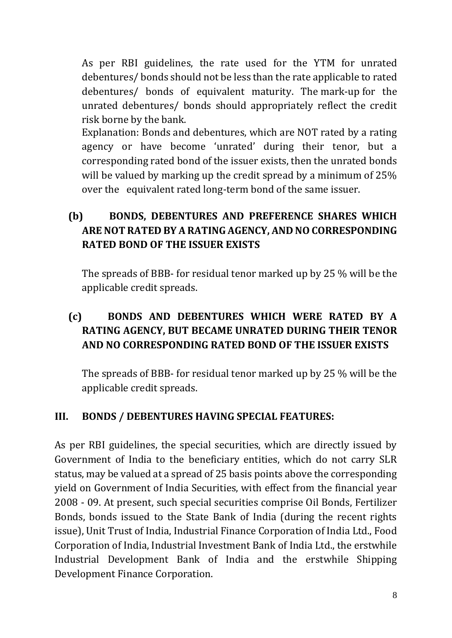As per RBI guidelines, the rate used for the YTM for unrated debentures/ bonds should not be less than the rate applicable to rated debentures/ bonds of equivalent maturity. The mark-up for the unrated debentures/ bonds should appropriately reflect the credit risk borne by the bank.

Explanation: Bonds and debentures, which are NOT rated by a rating agency or have become 'unrated' during their tenor, but a corresponding rated bond of the issuer exists, then the unrated bonds will be valued by marking up the credit spread by a minimum of 25% over the equivalent rated long-term bond of the same issuer.

# **(b) BONDS, DEBENTURES AND PREFERENCE SHARES WHICH ARE NOT RATED BY A RATING AGENCY, AND NO CORRESPONDING RATED BOND OF THE ISSUER EXISTS**

The spreads of BBB- for residual tenor marked up by 25 % will be the applicable credit spreads.

# **(c) BONDS AND DEBENTURES WHICH WERE RATED BY A RATING AGENCY, BUT BECAME UNRATED DURING THEIR TENOR AND NO CORRESPONDING RATED BOND OF THE ISSUER EXISTS**

The spreads of BBB- for residual tenor marked up by 25 % will be the applicable credit spreads.

# **III. BONDS / DEBENTURES HAVING SPECIAL FEATURES:**

As per RBI guidelines, the special securities, which are directly issued by Government of India to the beneficiary entities, which do not carry SLR status, may be valued at a spread of 25 basis points above the corresponding yield on Government of India Securities, with effect from the financial year 2008 - 09. At present, such special securities comprise Oil Bonds, Fertilizer Bonds, bonds issued to the State Bank of India (during the recent rights issue), Unit Trust of India, Industrial Finance Corporation of India Ltd., Food Corporation of India, Industrial Investment Bank of India Ltd., the erstwhile Industrial Development Bank of India and the erstwhile Shipping Development Finance Corporation.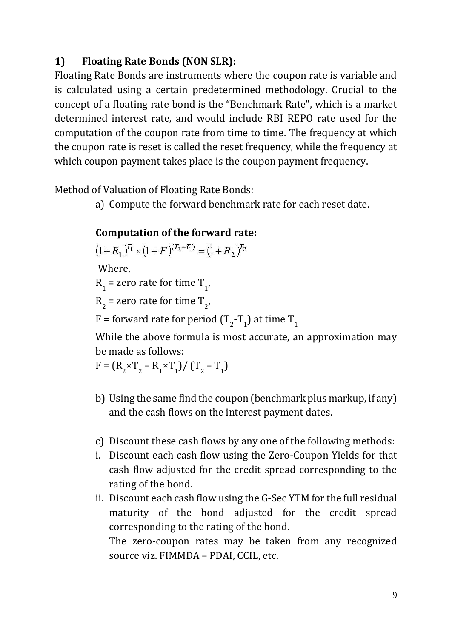## **1) Floating Rate Bonds (NON SLR):**

Floating Rate Bonds are instruments where the coupon rate is variable and is calculated using a certain predetermined methodology. Crucial to the concept of a floating rate bond is the "Benchmark Rate", which is a market determined interest rate, and would include RBI REPO rate used for the computation of the coupon rate from time to time. The frequency at which the coupon rate is reset is called the reset frequency, while the frequency at which coupon payment takes place is the coupon payment frequency.

Method of Valuation of Floating Rate Bonds:

a) Compute the forward benchmark rate for each reset date.

#### **Computation of the forward rate:**

$$
(1+R_1)^{T_1} \times (1+F)^{(T_2-T_1)} = (1+R_2)^{T_2}
$$

Where,

 $R_1$  = zero rate for time  $T_1$ ,

 $R_2$  = zero rate for time  $T_{2'}$ 

F = forward rate for period (T<sub>2</sub>-T<sub>1</sub>) at time T<sub>1</sub>

While the above formula is most accurate, an approximation may be made as follows:

 $F = (R_2 \times T_2 - R_1 \times T_1) / (T_2 - T_1)$ 

- b) Using the same find the coupon (benchmark plus markup, if any) and the cash flows on the interest payment dates.
- c) Discount these cash flows by any one of the following methods:
- i. Discount each cash flow using the Zero-Coupon Yields for that cash flow adjusted for the credit spread corresponding to the rating of the bond.
- ii. Discount each cash flow using the G-Sec YTM for the full residual maturity of the bond adjusted for the credit spread corresponding to the rating of the bond.

The zero-coupon rates may be taken from any recognized source viz. FIMMDA – PDAI, CCIL, etc.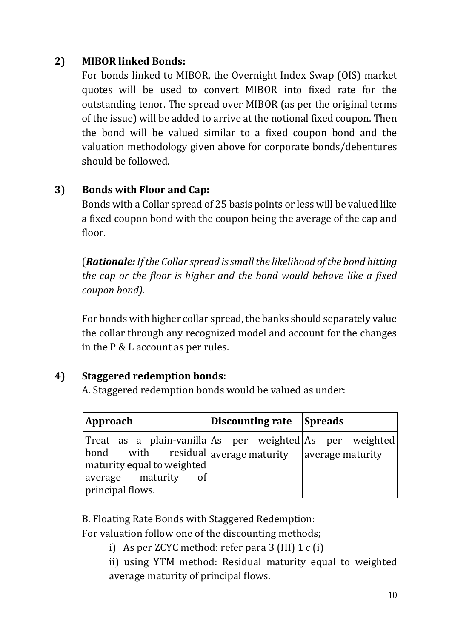## **2) MIBOR linked Bonds:**

For bonds linked to MIBOR, the Overnight Index Swap (OIS) market quotes will be used to convert MIBOR into fixed rate for the outstanding tenor. The spread over MIBOR (as per the original terms of the issue) will be added to arrive at the notional fixed coupon. Then the bond will be valued similar to a fixed coupon bond and the valuation methodology given above for corporate bonds/debentures should be followed*.* 

## **3) Bonds with Floor and Cap:**

Bonds with a Collar spread of 25 basis points or less will be valued like a fixed coupon bond with the coupon being the average of the cap and floor.

(*Rationale: If the Collar spread is small the likelihood of the bond hitting the cap or the floor is higher and the bond would behave like a fixed coupon bond).* 

For bonds with higher collar spread, the banks should separately value the collar through any recognized model and account for the changes in the P & L account as per rules.

#### **4) Staggered redemption bonds:**

A. Staggered redemption bonds would be valued as under:

| Approach                                                                                                                                                                      | Discounting rate Spreads |                  |
|-------------------------------------------------------------------------------------------------------------------------------------------------------------------------------|--------------------------|------------------|
| Treat as a plain-vanilla As per weighted As per weighted<br>bond with residual average maturity<br>maturity equal to weighted<br>average maturity<br>- of<br>principal flows. |                          | average maturity |

B. Floating Rate Bonds with Staggered Redemption:

For valuation follow one of the discounting methods;

i) As per ZCYC method: refer para 3 (III) 1 c (i)

ii) using YTM method: Residual maturity equal to weighted average maturity of principal flows.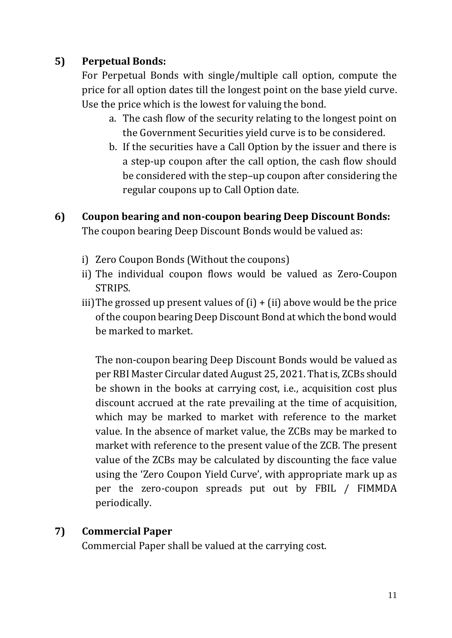## **5) Perpetual Bonds:**

For Perpetual Bonds with single/multiple call option, compute the price for all option dates till the longest point on the base yield curve. Use the price which is the lowest for valuing the bond.

- a. The cash flow of the security relating to the longest point on the Government Securities yield curve is to be considered.
- b. If the securities have a Call Option by the issuer and there is a step-up coupon after the call option, the cash flow should be considered with the step–up coupon after considering the regular coupons up to Call Option date.
- **6) Coupon bearing and non-coupon bearing Deep Discount Bonds:**  The coupon bearing Deep Discount Bonds would be valued as:
	- i) Zero Coupon Bonds (Without the coupons)
	- ii) The individual coupon flows would be valued as Zero-Coupon STRIPS.
	- iii)The grossed up present values of  $(i) + (ii)$  above would be the price of the coupon bearing Deep Discount Bond at which the bond would be marked to market.

The non-coupon bearing Deep Discount Bonds would be valued as per RBI Master Circular dated August 25, 2021. That is, ZCBs should be shown in the books at carrying cost, i.e., acquisition cost plus discount accrued at the rate prevailing at the time of acquisition, which may be marked to market with reference to the market value. In the absence of market value, the ZCBs may be marked to market with reference to the present value of the ZCB. The present value of the ZCBs may be calculated by discounting the face value using the 'Zero Coupon Yield Curve', with appropriate mark up as per the zero-coupon spreads put out by FBIL / FIMMDA periodically.

#### **7) Commercial Paper**

Commercial Paper shall be valued at the carrying cost.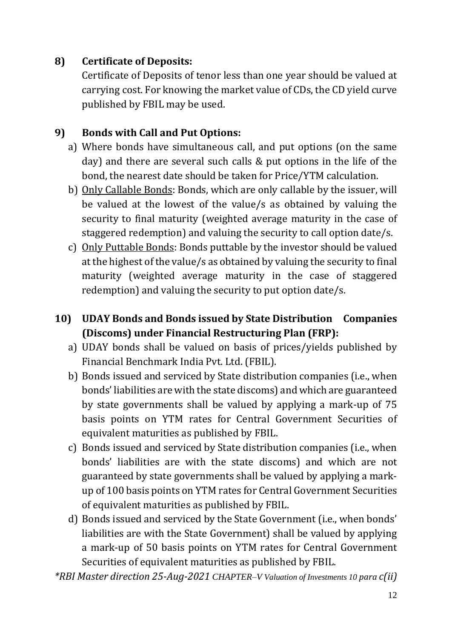## **8) Certificate of Deposits:**

Certificate of Deposits of tenor less than one year should be valued at carrying cost. For knowing the market value of CDs, the CD yield curve published by FBIL may be used.

# **9) Bonds with Call and Put Options:**

- a) Where bonds have simultaneous call, and put options (on the same day) and there are several such calls & put options in the life of the bond, the nearest date should be taken for Price/YTM calculation.
- b) Only Callable Bonds: Bonds, which are only callable by the issuer, will be valued at the lowest of the value/s as obtained by valuing the security to final maturity (weighted average maturity in the case of staggered redemption) and valuing the security to call option date/s.
- c) Only Puttable Bonds: Bonds puttable by the investor should be valued at the highest of the value/s as obtained by valuing the security to final maturity (weighted average maturity in the case of staggered redemption) and valuing the security to put option date/s.
- **10) UDAY Bonds and Bonds issued by State Distribution Companies (Discoms) under Financial Restructuring Plan (FRP):**
	- a) UDAY bonds shall be valued on basis of prices/yields published by Financial Benchmark India Pvt. Ltd. (FBIL).
	- b) Bonds issued and serviced by State distribution companies (i.e., when bonds' liabilities are with the state discoms) and which are guaranteed by state governments shall be valued by applying a mark-up of 75 basis points on YTM rates for Central Government Securities of equivalent maturities as published by FBIL.
	- c) Bonds issued and serviced by State distribution companies (i.e., when bonds' liabilities are with the state discoms) and which are not guaranteed by state governments shall be valued by applying a markup of 100 basis points on YTM rates for Central Government Securities of equivalent maturities as published by FBIL.
	- d) Bonds issued and serviced by the State Government (i.e., when bonds' liabilities are with the State Government) shall be valued by applying a mark-up of 50 basis points on YTM rates for Central Government Securities of equivalent maturities as published by FBIL.

*\*RBI Master direction 25-Aug-2021 CHAPTER–V Valuation of Investments 10 para c(ii)*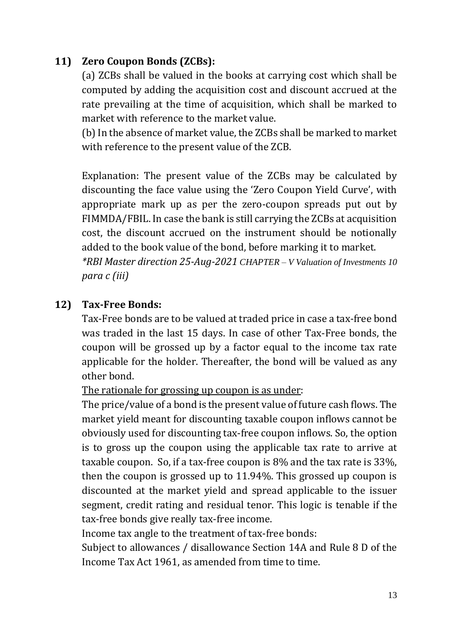#### **11) Zero Coupon Bonds (ZCBs):**

(a) ZCBs shall be valued in the books at carrying cost which shall be computed by adding the acquisition cost and discount accrued at the rate prevailing at the time of acquisition, which shall be marked to market with reference to the market value.

(b) In the absence of market value, the ZCBs shall be marked to market with reference to the present value of the ZCB.

Explanation: The present value of the ZCBs may be calculated by discounting the face value using the 'Zero Coupon Yield Curve', with appropriate mark up as per the zero-coupon spreads put out by FIMMDA/FBIL. In case the bank is still carrying the ZCBs at acquisition cost, the discount accrued on the instrument should be notionally added to the book value of the bond, before marking it to market. *\*RBI Master direction 25-Aug-2021 CHAPTER – V Valuation of Investments 10* 

*para c (iii)*

#### **12) Tax-Free Bonds:**

Tax-Free bonds are to be valued at traded price in case a tax-free bond was traded in the last 15 days. In case of other Tax-Free bonds, the coupon will be grossed up by a factor equal to the income tax rate applicable for the holder. Thereafter, the bond will be valued as any other bond.

The rationale for grossing up coupon is as under:

The price/value of a bond is the present value of future cash flows. The market yield meant for discounting taxable coupon inflows cannot be obviously used for discounting tax-free coupon inflows. So, the option is to gross up the coupon using the applicable tax rate to arrive at taxable coupon. So, if a tax-free coupon is 8% and the tax rate is 33%, then the coupon is grossed up to 11.94%. This grossed up coupon is discounted at the market yield and spread applicable to the issuer segment, credit rating and residual tenor. This logic is tenable if the tax-free bonds give really tax-free income.

Income tax angle to the treatment of tax-free bonds:

Subject to allowances / disallowance Section 14A and Rule 8 D of the Income Tax Act 1961, as amended from time to time.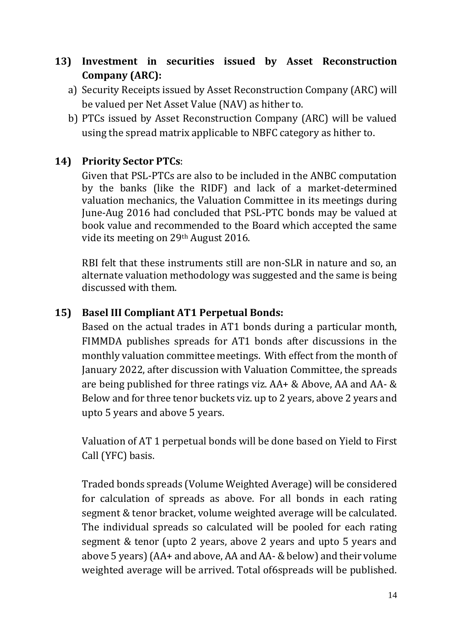- **13) Investment in securities issued by Asset Reconstruction Company (ARC):**
	- a) Security Receipts issued by Asset Reconstruction Company (ARC) will be valued per Net Asset Value (NAV) as hither to.
	- b) PTCs issued by Asset Reconstruction Company (ARC) will be valued using the spread matrix applicable to NBFC category as hither to.

## **14) Priority Sector PTCs**:

Given that PSL-PTCs are also to be included in the ANBC computation by the banks (like the RIDF) and lack of a market-determined valuation mechanics, the Valuation Committee in its meetings during June-Aug 2016 had concluded that PSL-PTC bonds may be valued at book value and recommended to the Board which accepted the same vide its meeting on 29th August 2016.

RBI felt that these instruments still are non-SLR in nature and so, an alternate valuation methodology was suggested and the same is being discussed with them.

#### **15) Basel III Compliant AT1 Perpetual Bonds:**

Based on the actual trades in AT1 bonds during a particular month, FIMMDA publishes spreads for AT1 bonds after discussions in the monthly valuation committee meetings. With effect from the month of January 2022, after discussion with Valuation Committee, the spreads are being published for three ratings viz. AA+ & Above, AA and AA- & Below and for three tenor buckets viz. up to 2 years, above 2 years and upto 5 years and above 5 years.

Valuation of AT 1 perpetual bonds will be done based on Yield to First Call (YFC) basis.

Traded bonds spreads (Volume Weighted Average) will be considered for calculation of spreads as above. For all bonds in each rating segment & tenor bracket, volume weighted average will be calculated. The individual spreads so calculated will be pooled for each rating segment & tenor (upto 2 years, above 2 years and upto 5 years and above 5 years) (AA+ and above, AA and AA- & below) and their volume weighted average will be arrived. Total of6spreads will be published.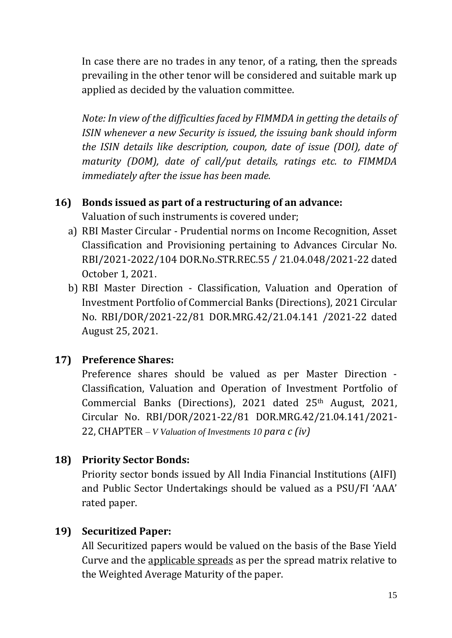In case there are no trades in any tenor, of a rating, then the spreads prevailing in the other tenor will be considered and suitable mark up applied as decided by the valuation committee.

*Note: In view of the difficulties faced by FIMMDA in getting the details of ISIN whenever a new Security is issued, the issuing bank should inform the ISIN details like description, coupon, date of issue (DOI), date of maturity (DOM), date of call/put details, ratings etc. to FIMMDA immediately after the issue has been made.*

## **16) Bonds issued as part of a restructuring of an advance:**

Valuation of such instruments is covered under;

- a) RBI Master Circular Prudential norms on Income Recognition, Asset Classification and Provisioning pertaining to Advances Circular No. RBI/2021-2022/104 DOR.No.STR.REC.55 / 21.04.048/2021-22 dated October 1, 2021.
- b) RBI Master Direction Classification, Valuation and Operation of Investment Portfolio of Commercial Banks (Directions), 2021 Circular No. RBI/DOR/2021-22/81 DOR.MRG.42/21.04.141 /2021-22 dated August 25, 2021.

#### **17) Preference Shares:**

Preference shares should be valued as per Master Direction - Classification, Valuation and Operation of Investment Portfolio of Commercial Banks (Directions), 2021 dated 25<sup>th</sup> August, 2021, Circular No. RBI/DOR/2021-22/81 DOR.MRG.42/21.04.141/2021- 22, CHAPTER *– V Valuation of Investments 10 para c (iv)*

# **18) Priority Sector Bonds:**

Priority sector bonds issued by All India Financial Institutions (AIFI) and Public Sector Undertakings should be valued as a PSU/FI 'AAA' rated paper.

# **19) Securitized Paper:**

All Securitized papers would be valued on the basis of the Base Yield Curve and the applicable spreads as per the spread matrix relative to the Weighted Average Maturity of the paper.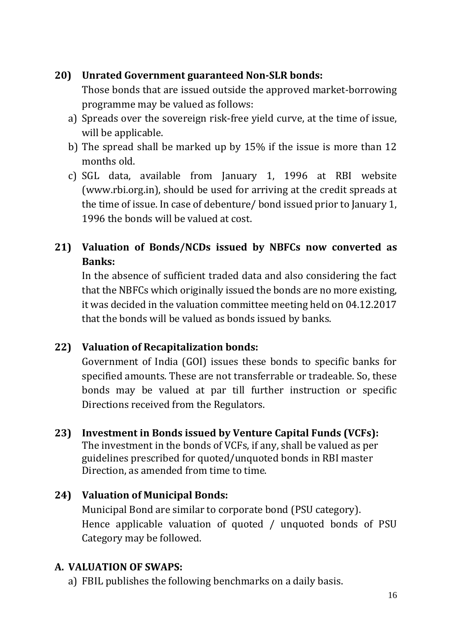## **20) Unrated Government guaranteed Non-SLR bonds:**

Those bonds that are issued outside the approved market-borrowing programme may be valued as follows:

- a) Spreads over the sovereign risk-free yield curve, at the time of issue, will be applicable.
- b) The spread shall be marked up by 15% if the issue is more than 12 months old.
- c) SGL data, available from January 1, 1996 at RBI website (www.rbi.org.in), should be used for arriving at the credit spreads at the time of issue. In case of debenture/ bond issued prior to January 1, 1996 the bonds will be valued at cost.

# **21) Valuation of Bonds/NCDs issued by NBFCs now converted as Banks:**

In the absence of sufficient traded data and also considering the fact that the NBFCs which originally issued the bonds are no more existing, it was decided in the valuation committee meeting held on 04.12.2017 that the bonds will be valued as bonds issued by banks.

#### **22) Valuation of Recapitalization bonds:**

Government of India (GOI) issues these bonds to specific banks for specified amounts. These are not transferrable or tradeable. So, these bonds may be valued at par till further instruction or specific Directions received from the Regulators.

# **23) Investment in Bonds issued by Venture Capital Funds (VCFs):**

The investment in the bonds of VCFs, if any, shall be valued as per guidelines prescribed for quoted/unquoted bonds in RBI master Direction, as amended from time to time.

# **24) Valuation of Municipal Bonds:**

Municipal Bond are similar to corporate bond (PSU category). Hence applicable valuation of quoted / unquoted bonds of PSU Category may be followed.

#### **A. VALUATION OF SWAPS:**

a) FBIL publishes the following benchmarks on a daily basis.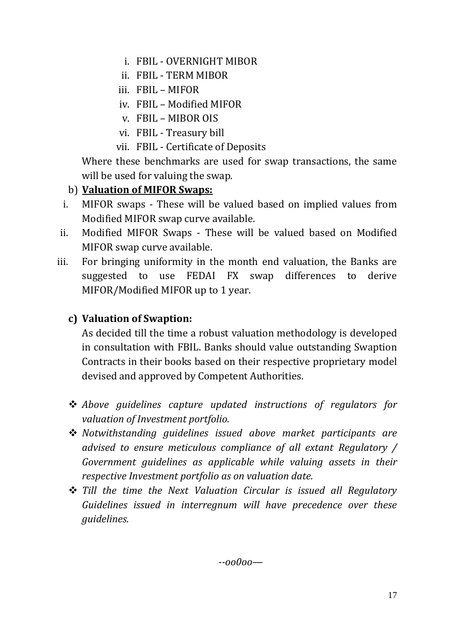- i. FBIL OVERNIGHT MIBOR
- ii. FBIL TERM MIBOR
- iii. FBIL MIFOR
- iv. FBIL Modified MIFOR
- v. FBIL MIBOR OIS
- vi. FBIL Treasury bill
- vii. FBIL Certificate of Deposits

Where these benchmarks are used for swap transactions, the same will be used for valuing the swap.

#### b) **Valuation of MIFOR Swaps:**

- i. MIFOR swaps These will be valued based on implied values from Modified MIFOR swap curve available.
- ii. Modified MIFOR Swaps These will be valued based on Modified MIFOR swap curve available.
- iii. For bringing uniformity in the month end valuation, the Banks are suggested to use FEDAI FX swap differences to derive MIFOR/Modified MIFOR up to 1 year.

## **c) Valuation of Swaption:**

As decided till the time a robust valuation methodology is developed in consultation with FBIL. Banks should value outstanding Swaption Contracts in their books based on their respective proprietary model devised and approved by Competent Authorities.

- ❖ *Above guidelines capture updated instructions of regulators for valuation of Investment portfolio.*
- ❖ *Notwithstanding guidelines issued above market participants are advised to ensure meticulous compliance of all extant Regulatory / Government guidelines as applicable while valuing assets in their respective Investment portfolio as on valuation date.*
- ❖ *Till the time the Next Valuation Circular is issued all Regulatory Guidelines issued in interregnum will have precedence over these guidelines.*